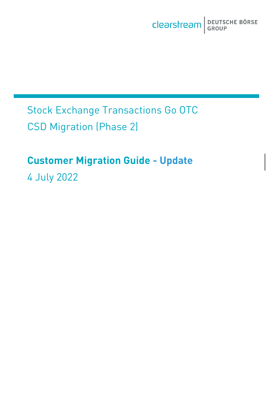Stock Exchange Transactions Go OTC CSD Migration (Phase 2)

# **Customer Migration Guide - Update**

4 July 2022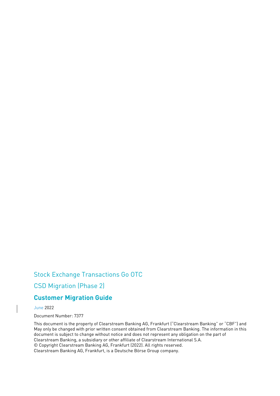## Stock Exchange Transactions Go OTC

CSD Migration (Phase 2)

## **Customer Migration Guide**

June 2022

Document Number: 7377

This document is the property of Clearstream Banking AG, Frankfurt ("Clearstream Banking" or "CBF") and May only be changed with prior written consent obtained from Clearstream Banking. The information in this document is subject to change without notice and does not represent any obligation on the part of Clearstream Banking, a subsidiary or other affiliate of Clearstream International S.A. © Copyright Clearstream Banking AG, Frankfurt (2022). All rights reserved. Clearstream Banking AG, Frankfurt, is a Deutsche Börse Group company.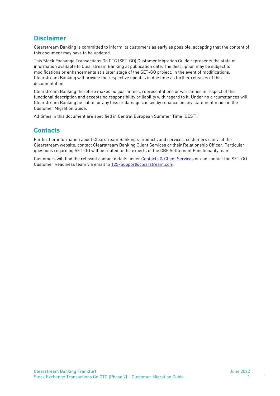## <span id="page-2-0"></span>**Disclaimer**

Clearstream Banking is committed to inform its customers as early as possible, accepting that the content of this document may have to be updated.

This Stock Exchange Transactions Go OTC (SET-GO) Customer Migration Guide represents the state of information available to Clearstream Banking at publication date. The description may be subject to modifications or enhancements at a later stage of the SET-GO project. In the event of modifications, Clearstream Banking will provide the respective updates in due time as further releases of this documentation.

Clearstream Banking therefore makes no guarantees, representations or warranties in respect of this functional description and accepts no responsibility or liability with regard to it. Under no circumstances will Clearstream Banking be liable for any loss or damage caused by reliance on any statement made in the Customer Migration Guide.

All times in this document are specified in Central European Summer Time (CEST).

## <span id="page-2-1"></span>**Contacts**

For further information about Clearstream Banking's products and services, customers can visit the Clearstream website, contact Clearstream Banking Client Services or their Relationship Officer. Particular questions regarding SET-GO will be routed to the experts of the CBF Settlement Functionality team.

Customers will find the relevant contact details under [Contacts & Client Services](https://clearstream.com/clearstream-en/contacts/core-products) or can contact the SET-GO Customer Readiness team via email t[o T2S-Support@clearstream.com.](mailto:T2S-Support@clearstream.com)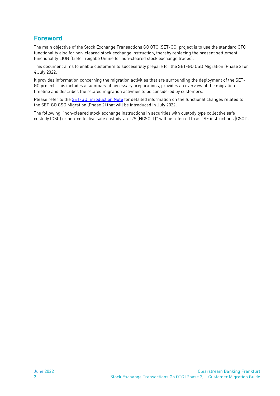## <span id="page-3-0"></span>**Foreword**

The main objective of the Stock Exchange Transactions GO OTC (SET-GO) project is to use the standard OTC functionality also for non-cleared stock exchange instruction, thereby replacing the present settlement functionality LION (Lieferfreigabe Online for non-cleared stock exchange trades).

This document aims to enable customers to successfully prepare for the SET-GO CSD Migration (Phase 2) on 4 July 2022.

It provides information concerning the migration activities that are surrounding the deployment of the SET-GO project. This includes a summary of necessary preparations, provides an overview of the migration timeline and describes the related migration activities to be considered by customers.

Please refer to the **SET-GO Introduction Note** for detailed information on the functional changes related to the SET-GO CSD Migration (Phase 2) that will be introduced in July 2022.

The following, "non-cleared stock exchange instructions in securities with custody type collective safe custody (CSC) or non-collective safe custody via T2S (NCSC-T)" will be referred to as "SE instructions (CSC)".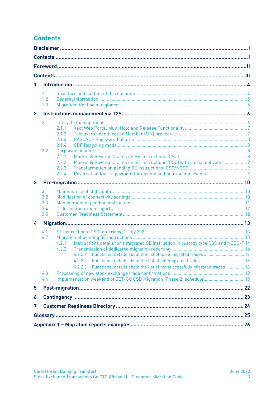## <span id="page-4-0"></span>**Contents**

|                | 1.1<br>1.2<br>1.3               |                                                                                                                                                                                                                                                                                                                                                                |  |  |  |
|----------------|---------------------------------|----------------------------------------------------------------------------------------------------------------------------------------------------------------------------------------------------------------------------------------------------------------------------------------------------------------------------------------------------------------|--|--|--|
| $\overline{2}$ |                                 |                                                                                                                                                                                                                                                                                                                                                                |  |  |  |
|                | 2.1<br>2.2                      | 2.1.1<br>2.1.2<br>2.1.3<br>2.1.4<br>2.2.1<br>Market & Reverse Claims on SE instructions (CSC) with partial delivery  9<br>2.2.2<br>2.2.3<br>2.2.4                                                                                                                                                                                                              |  |  |  |
| 3              |                                 |                                                                                                                                                                                                                                                                                                                                                                |  |  |  |
|                | 3.1<br>3.2<br>3.3<br>3.4<br>3.5 |                                                                                                                                                                                                                                                                                                                                                                |  |  |  |
| 4              |                                 |                                                                                                                                                                                                                                                                                                                                                                |  |  |  |
|                | 4.1<br>4.2<br>4.3<br>4.4        | Instructions details for a migrated SE instruction in custody type CSC and NCSC-T 14<br>4.2.1<br>4.2.2<br>Functional details about the list of to be migrated trades  17<br>4.2.2.1<br>4.2.2.2<br>Functional details about the list of not successfully migrated trades  18<br>4.2.2.3<br>Implementation weekend of SET-GO CSD Migration (Phase 2) schedule 19 |  |  |  |
| 5              |                                 |                                                                                                                                                                                                                                                                                                                                                                |  |  |  |
| 6              |                                 |                                                                                                                                                                                                                                                                                                                                                                |  |  |  |
| 7              |                                 |                                                                                                                                                                                                                                                                                                                                                                |  |  |  |
|                |                                 |                                                                                                                                                                                                                                                                                                                                                                |  |  |  |
|                |                                 |                                                                                                                                                                                                                                                                                                                                                                |  |  |  |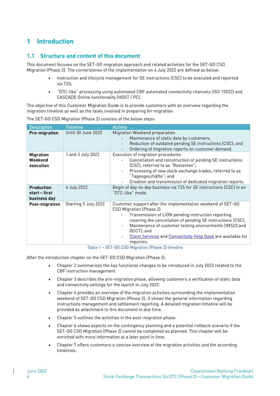## <span id="page-5-0"></span>**1 Introduction**

## <span id="page-5-1"></span>**1.1 Structure and content of this document**

This document focuses on the SET-GO migration approach and related activities for the SET-GO CSD Migration (Phase 2). The cornerstones of the implementation on 4 July 2022 are defined as below:

- Instruction and lifecycle management for SE instructions (CSC) to be executed and reported via T2S;
- "OTC-like" processing using automated CBF automated connectivity channels (ISO 15022) and CASCADE Online functionality (HOST / PC).

The objective of this Customer Migration Guide is to provide customers with an overview regarding the migration timeline as well as the tasks involved in preparing for migration.

| <b>Description</b>                                 | <b>Timeline</b>      | <b>Activity</b>                                                                                                                                                                                                                                                                                                                                                           |  |  |
|----------------------------------------------------|----------------------|---------------------------------------------------------------------------------------------------------------------------------------------------------------------------------------------------------------------------------------------------------------------------------------------------------------------------------------------------------------------------|--|--|
| Pre-migration                                      | Until 30 June 2022   | Migration Weekend preparation<br>Maintenance of static data by customers;<br>Reduction of outdated pending SE instructions (CSC); and<br>Ordering of migration reports on customer demand.                                                                                                                                                                                |  |  |
| <b>Migration</b><br>Weekend<br>execution           | 1 and 3 July 2022    | Execution of migration procedures<br>Cancellation and reinstruction of pending SE instructions<br>(CSC), referred to as "Restanten";<br>Processing of new stock exchange trades, referred to as<br>"Tagesgeschäfte"; and<br>Creation and transmission of dedicated migration reports.                                                                                     |  |  |
| <b>Production</b><br>start - first<br>business day | 4 July 2022          | Begin of day-to-day business via T2S for SE instructions (CSC) in an<br>"OTC-like" mode.                                                                                                                                                                                                                                                                                  |  |  |
| Post-migration                                     | Starting 5 July 2022 | Customer support after the implementation weekend of SET-GO<br><b>CSD Migration (Phase 2)</b><br>Transmission of LION pending instruction reporting<br>covering the cancellation of pending SE instructions (CSC);<br>Maintenance of customer testing environments (IMS23 and<br>OCCT); and<br>Client Services and Connectivity Help Desk are available for<br>inquiries. |  |  |
| Table 1 - SET-GO CSD Migration (Phase 2) timeline  |                      |                                                                                                                                                                                                                                                                                                                                                                           |  |  |

The SET-GO CSD Migration (Phase 2) consists of the below steps:

- After the introduction chapter on the SET-GO CSD Migration (Phase 2):
	- Chapter 2 summarises the key functional changes to be introduced in July 2022 related to the CBF instruction management.
	- Chapter 3 describes the pre-migration phase, allowing customers a verification of static data and connectivity settings for the launch in July 2022.
	- Chapter 4 provides an overview of the migration activities surrounding the implementation weekend of SET-GO CSD Migration (Phase 2). It shows the general information regarding instructions management and settlement reporting. A detailed migration timeline will be provided as attachment to this document in due time.
	- Chapter 5 outlines the activities in the post-migration phase.
	- Chapter 6 shows aspects on the contingency planning and a potential rollback scenario if the SET-GO CSD Migration (Phase 2) cannot be completed as planned. This chapter will be enriched with more information at a later point in time.
	- Chapter 7 offers customers a concise overview of the migration activities and the according timelines.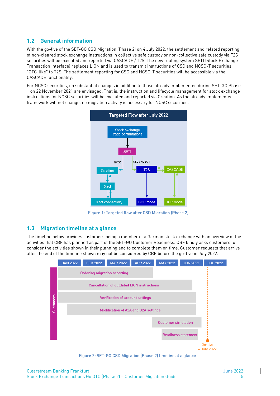## <span id="page-6-0"></span>**1.2 General information**

With the go-live of the SET-GO CSD Migration (Phase 2) on 4 July 2022, the settlement and related reporting of non-cleared stock exchange instructions in collective safe custody or non-collective safe custody via T2S securities will be executed and reported via CASCADE / T2S. The new routing system SETI (Stock Exchange Transaction Interface) replaces LION and is used to transmit instructions of CSC and NCSC-T securities "OTC-like" to T2S. The settlement reporting for CSC and NCSC-T securities will be accessible via the CASCADE functionality.

For NCSC securities, no substantial changes in addition to those already implemented during SET-GO Phase 1 on 22 November 2021 are envisaged. That is, the instruction and lifecycle management for stock exchange instructions for NCSC securities will be executed and reported via Creation. As the already implemented framework will not change, no migration activity is necessary for NCSC securities.



Figure 1: Targeted flow after CSD Migration (Phase 2)

## <span id="page-6-1"></span>**1.3 Migration timeline at a glance**

The timeline below provides customers being a member of a German stock exchange with an overview of the activities that CBF has planned as part of the SET-GO Customer Readiness. CBF kindly asks customers to consider the activities shown in their planning and to complete them on time. Customer requests that arrive after the end of the timeline shown may not be considered by CBF before the go-live in July 2022.



Figure 2: SET-GO CSD Migration (Phase 2) timeline at a glance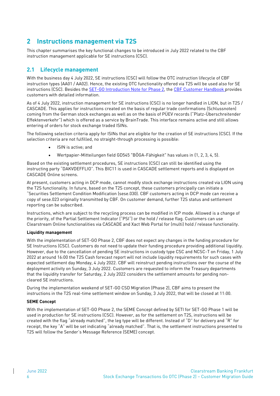## <span id="page-7-0"></span>**2 Instructions management via T2S**

This chapter summarises the key functional changes to be introduced in July 2022 related to the CBF instruction management applicable for SE instructions (CSC).

## <span id="page-7-1"></span>**2.1 Lifecycle management**

With the business day 4 July 2022, SE instructions (CSC) will follow the OTC instruction lifecycle of CBF instruction types (AA01 / AA02). Hence, the existing OTC functionality offered via T2S will be used also for SE instructions (CSC). Besides the **SET-GO Introduction Note for Phase 2**, the CBF [Customer Handbook p](https://www.clearstream.com/clearstream-en/keydocuments-1-/csd-oneclearstream/customer-handbook)rovides customers with detailed information.

As of 4 July 2022, instruction management for SE instructions (CSC) is no longer handled in LION, but in T2S / CASCADE. This applies for instructions created on the basis of regular trade confirmations (Schlussnoten) coming from the German stock exchanges as well as on the basis of PÜEV records ("Platz-Überschreitender Effektenverkehr") which is offered as a service by BrainTrade. This interface remains active and still allows entering of orders for stock exchange traded ISINs.

The following selection criteria apply for ISINs that are eligible for the creation of SE instructions (CSC). If the selection criteria are not fulfilled, no straight-through processing is possible:

- ISIN is active; and
- Wertpapier-Mitteilungen field GD545 "BÖGA-Fähigkeit" has values in {1, 2, 3, 4, 5}.

Based on the existing settlement procedures, SE instructions (CSC) can still be identified using the instructing party "DAKVDEFFLIO". This BIC11 is used in CASCADE settlement reports and is displayed on CASCADE Online screens.

At present, customers acting in DCP mode, cannot modify stock exchange instructions created via LION using the T2S functionality. In future, based on the T2S concept, these customers principally can initiate a "Securities Settlement Condition Modification (sese.030). CBF customers acting in DCP mode can receive a copy of sese.023 originally transmitted by CBF. On customer demand, further T2S status and settlement reporting can be subscribed.

Instructions, which are subject to the recycling process can be modified in ICP mode. Allowed is a change of the priority, of the Partial Settlement Indicator ("PSI") or the hold / release flag. Customers can use Clearstream Online functionalities via CASCADE and Xact Web Portal for (multi) hold / release functionality.

#### **Liquidity management**

With the implementation of SET-GO Phase 2, CBF does not expect any changes in the funding procedure for SE Instructions (CSC). Customers do not need to update their funding procedure providing additional liquidity. However, due to the cancellation of pending SE instructions in custody type CSC and NCSC-T on Friday, 1 July 2022 at around 16:00 the T2S Cash forecast report will not include liquidity requirements for such cases with expected settlement day Monday, 4 July 2022. CBF will reinstruct pending instructions over the course of the deployment activity on Sunday, 3 July 2022. Customers are requested to inform the Treasury departments that the liquidity transfer for Saturday, 2 July 2022 considers the settlement amounts for pending noncleared SE instructions.

During the implementation weekend of SET-GO CSD Migration (Phase 2), CBF aims to present the instructions in the T2S real-time settlement window on Sunday, 3 July 2022, that will be closed at 11:00.

#### **SEME Concept**

With the implementation of SET-GO Phase 2, the SEME Concept defined by SETI for SET-GO Phase 1 will be used in production for SE instructions (CSC). However, as for the settlement on T2S, instructions will be created with the flag "already matched", the leg type will be different. Instead of "D" for delivery and "R" for receipt, the key "A" will be set indicating "already matched". That is, the settlement instructions presented to T2S will follow the Sender's Message Reference (SEME) concept.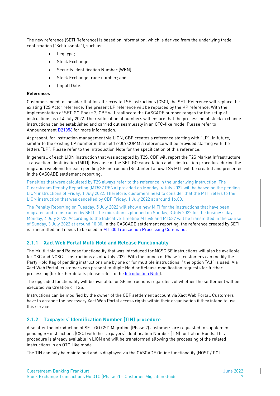The new reference (SETI Reference) is based on information, which is derived from the underlying trade confirmation ("Schlussnote"), such as:

- Leg type;
- Stock Exchange;
- Security Identification Number (WKN);
- Stock Exchange trade number; and
- (Input) Date.

#### **References**

Customers need to consider that for all recreated SE instructions (CSC), the SETI Reference will replace the existing T2S Actor reference. The present LP reference will be replaced by the KP reference. With the implementation of SET-GO Phase 2, CBF will reallocate the CASCADE number ranges for the setup of instructions as of 4 July 2022. The reallocation of numbers will ensure that the processing of stock exchange instructions can be established and carried out seamlessly in an OTC-like mode. Please refer to Announcement [D21056](https://www.clearstream.com/clearstream-en/products-and-services/settlement/d21056-2873958) for more information.

At present, for instruction management via LION, CBF creates a reference starting with "LP". In future, similar to the existing LP number in the field :20C: COMM a reference will be provided starting with the letters "LP". Please refer to th[e Introduction Note](https://www.clearstream.com/resource/blob/2949948/12d9badfba972569575b6db24c2edfc9/setgo-introduction-note-2022-data.pdf) for the specification of this reference.

In general, of each LION instruction that was accepted by T2S, CBF will report the T2S Market Infrastructure Transaction Identification (MITI). Because of the SET-GO cancellation and reinstruction procedure during the migration weekend for each pending SE instruction (Restanten) a new T2S MITI will be created and presented in the CASCADE settlement reporting.

Penalties that were calculated by T2S always refer to the reference in the underlying instruction. The Clearstream Penalty Reporting (MT537 PENA) provided on Monday, 4 July 2022 will be based on the pending LION instructions of Friday, 1 July 2022. Therefore, customers need to consider that the MITI refers to the LION instruction that was cancelled by CBF Friday, 1 July 2022 at around 16:00.

The Penalty Reporting on Tuesday, 5 July 2022 will show a new MITI for the instructions that have been migrated and reinstructed by SETI. The migration is planned on Sunday, 3 July 2022 for the business day Monday, 4 July 2022. According to the Indicative Timeline MT548 and MT537 will be transmitted in the course of Sunday, 3 July 2022 at around 10:30. In the CASCADE settlement reporting, the reference created by SETI is transmitted and needs to be used i[n MT530 Transaction Processing Command.](https://www.clearstream.com/clearstream-en/products-and-services/settlement/d21021-2622058)

#### <span id="page-8-0"></span>**2.1.1 Xact Web Portal Multi Hold and Release Functionality**

The Multi Hold and Release functionality that was introduced for NCSC SE instructions will also be available for CSC and NCSC-T instructions as of 4 July 2022. With the launch of Phase 2, customers can modify the Party Hold flag of pending instructions one by one or for multiple instructions if the option "All" is used. Via Xact Web Portal, customers can present multiple Hold or Release modification requests for further processing (for further details please refer to th[e Introduction Note\)](https://www.clearstream.com/resource/blob/2949948/12d9badfba972569575b6db24c2edfc9/setgo-introduction-note-2022-data.pdf).

The upgraded functionality will be available for SE instructions regardless of whether the settlement will be executed via Creation or T2S.

Instructions can be modified by the owner of the CBF settlement account via Xact Web Portal. Customers have to arrange the necessary Xact Web Portal access rights within their organisation if they intend to use this service.

#### <span id="page-8-1"></span>**2.1.2 Taxpayers' Identification Number (TIN) procedure**

Also after the introduction of SET-GO CSD Migration (Phase 2) customers are requested to supplement pending SE instructions (CSC) with the Taxpayers' Identification Number (TIN) for Italian Bonds. This procedure is already available in LION and will be transformed allowing the processing of the related instructions in an OTC-like mode.

The TIN can only be maintained and is displayed via the CASCADE Online functionality (HOST / PC).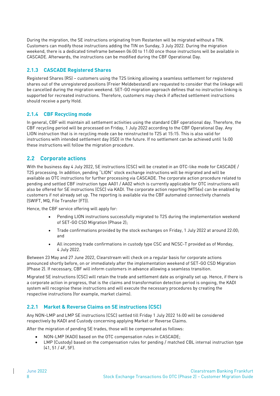During the migration, the SE instructions originating from Restanten will be migrated without a TIN. Customers can modify those instructions adding the TIN on Sunday, 3 July 2022. During the migration weekend, there is a dedicated timeframe between 06:00 to 11:00 once those instructions will be available in CASCADE. Afterwards, the instructions can be modified during the CBF Operational Day.

#### <span id="page-9-0"></span>**2.1.3 CASCADE Registered Shares**

Registered Shares (RS) – customers using the T2S linking allowing a seamless settlement for registered shares out of the unregistered positions (Freier Meldebestand) are requested to consider that the linkage will be cancelled during the migration weekend. SET-GO migration approach defines that no instruction linking is supported for recreated instructions. Therefore, customers may check if affected settlement instructions should receive a party Hold.

#### <span id="page-9-1"></span>**2.1.4 CBF Recycling mode**

In general, CBF will maintain all settlement activities using the standard CBF operational day. Therefore, the CBF recycling period will be processed on Friday, 1 July 2022 according to the CBF Operational Day. Any LION instruction that is in recycling mode can be reinstructed to T2S at 15:15. This is also valid for instructions with intended settlement day (ISD) in the future. If no settlement can be achieved until 16:00 these instructions will follow the migration procedure.

## <span id="page-9-2"></span>**2.2 Corporate actions**

With the business day 4 July 2022, SE instructions (CSC) will be created in an OTC-like mode for CASCADE / T2S processing. In addition, pending "LION" stock exchange instructions will be migrated and will be available as OTC instructions for further processing via CASCADE. The corporate action procedure related to pending and settled CBF instruction type AA01 / AA02 which is currently applicable for OTC instructions will also be offered for SE instructions (CSC) via KADI. The corporate action reporting (MT56x) can be enabled by customers if not already set up. The reporting is available via the CBF automated connectivity channels (SWIFT, MQ, File Transfer (FT)).

Hence, the CBF service offering will apply for:

- Pending LION instructions successfully migrated to T2S during the implementation weekend of SET-GO CSD Migration (Phase 2);
- Trade confirmations provided by the stock exchanges on Friday, 1 July 2022 at around 22:00; and
- All incoming trade confirmations in custody type CSC and NCSC-T provided as of Monday, 4 July 2022.

Between 23 May and 27 June 2022, Clearstream will check on a regular basis for corporate actions announced shortly before, on or immediately after the implementation weekend of SET-GO CSD Migration (Phase 2). If necessary, CBF will inform customers in advance allowing a seamless transition.

Migrated SE instructions (CSC) will retain the trade and settlement date as originally set up. Hence, if there is a corporate action in progress, that is the claims and transformation detection period is ongoing, the KADI system will recognise these instructions and will execute the necessary procedures by creating the respective instructions (for example, market claims).

## <span id="page-9-3"></span>**2.2.1 Market & Reverse Claims on SE instructions (CSC)**

Any NON-LMP and LMP SE instructions (CSC) settled till Friday 1 July 2022 16:00 will be considered respectively by KADI and Custody concerning applying Market or Reverse Claims.

After the migration of pending SE trades, those will be compensated as follows:

- NON-LMP (KADI) based on the OTC compensation rules in CASCADE;
- LMP (Custody) based on the compensation rules for pending / matched CBL internal instruction type (41, 51 / 4F, 5F).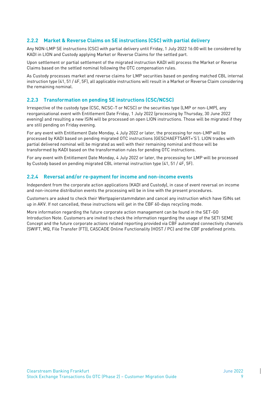### <span id="page-10-0"></span>**2.2.2 Market & Reverse Claims on SE instructions (CSC) with partial delivery**

Any NON-LMP SE instructions (CSC) with partial delivery until Friday, 1 July 2022 16:00 will be considered by KADI in LION and Custody applying Market or Reverse Claims for the settled part.

Upon settlement or partial settlement of the migrated instruction KADI will process the Market or Reverse Claims based on the settled nominal following the OTC compensation rules.

As Custody processes market and reverse claims for LMP securities based on pending matched CBL internal instruction type (41, 51 / 4F, 5F), all applicable instructions will result in a Market or Reverse Claim considering the remaining nominal.

#### <span id="page-10-1"></span>**2.2.3 Transformation on pending SE instructions (CSC/NCSC)**

Irrespective of the custody type (CSC, NCSC-T or NCSC) or the securities type (LMP or non-LMP), any reorganisational event with Entitlement Date Friday, 1 July 2022 (processing by Thursday, 30 June 2022 evening) and resulting a new ISIN will be processed on open LION instructions. Those will be migrated if they are still pending on Friday evening.

For any event with Entitlement Date Monday, 4 July 2022 or later, the processing for non-LMP will be processed by KADI based on pending migrated OTC instructions (GESCHAEFTSART='S'). LION trades with partial delivered nominal will be migrated as well with their remaining nominal and those will be transformed by KADI based on the transformation rules for pending OTC instructions.

For any event with Entitlement Date Monday, 4 July 2022 or later, the processing for LMP will be processed by Custody based on pending migrated CBL internal instruction type (41, 51 / 4F, 5F).

#### <span id="page-10-2"></span>**2.2.4 Reversal and/or re-payment for income and non-income events**

Independent from the corporate action applications (KADI and Custody), in case of event reversal on income and non-income distribution events the processing will be in line with the present procedures.

Customers are asked to check their Wertpapierstammdaten and cancel any instruction which have ISINs set up in AKV. If not cancelled, these instructions will get in the CBF 60-days recycling mode.

More information regarding the future corporate action management can be found in the SET-GO Introduction Note. Customers are invited to check the information regarding the usage of the SETI SEME Concept and the future corporate actions related reporting provided via CBF automated connectivity channels (SWIFT, MQ, File Transfer (FT)), CASCADE Online Functionality (HOST / PC) and the CBF predefined prints.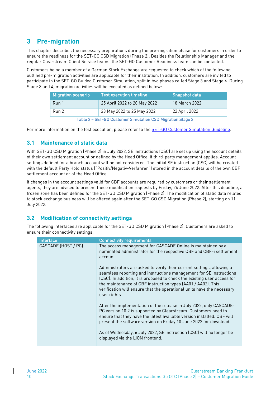## <span id="page-11-0"></span>**3 Pre-migration**

This chapter describes the necessary preparations during the pre-migration phase for customers in order to ensure the readiness for the SET-GO CSD Migration (Phase 2). Besides the Relationship Manager and the regular Clearstream Client Service teams, the SET-GO Customer Readiness team can be contacted.

Customers being a member of a German Stock Exchange are requested to check which of the following outlined pre-migration activities are applicable for their institution. In addition, customers are invited to participate in the SET-GO Guided Customer Simulation, split in two phases called Stage 3 and Stage 4. During Stage 3 and 4, migration activities will be executed as defined below:

| <b>Migration scenario</b> | <b>Test execution timeline</b> | <b>Snapshot data</b> |
|---------------------------|--------------------------------|----------------------|
| Run 1                     | 25 April 2022 to 20 May 2022   | 18 March 2022        |
| Run 2                     | 23 May 2022 to 25 May 2022     | 22 April 2022        |

Table 2 – SET-GO Customer Simulation CSD Migration Stage 2

For more information on the test execution, please refer to the **SET-GO Customer Simulation Guideline**.

## <span id="page-11-1"></span>**3.1 Maintenance of static data**

With SET-GO CSD Migration (Phase 2) in July 2022, SE instructions (CSC) are set up using the account details of their own settlement account or defined by the Head Office, if third-party management applies. Account settings defined for a branch account will be not considered. The initial SE instruction (CSC) will be created with the default Party Hold status ("Positiv/Negativ-Verfahren") stored in the account details of the own CBF settlement account or of the Head Office.

If changes in the account settings valid for CBF accounts are required by customers or their settlement agents, they are advised to present these modification requests by Friday, 24 June 2022. After this deadline, a frozen zone has been defined for the SET-GO CSD Migration (Phase 2). The modification of static data related to stock exchange business will be offered again after the SET-GO CSD Migration (Phase 2), starting on 11 July 2022.

## <span id="page-11-2"></span>**3.2 Modification of connectivity settings**

The following interfaces are applicable for the SET-GO CSD Migration (Phase 2). Customers are asked to ensure their connectivity settings.

| <b>Interface</b>    | <b>Connectivity requirements</b>                                                                                                                                                                                                                                                                                                                                                                  |
|---------------------|---------------------------------------------------------------------------------------------------------------------------------------------------------------------------------------------------------------------------------------------------------------------------------------------------------------------------------------------------------------------------------------------------|
| CASCADE (HOST / PC) | The access management for CASCADE Online is maintained by a<br>nominated administrator for the respective CBF and CBF-i settlement<br>account.                                                                                                                                                                                                                                                    |
|                     | Administrators are asked to verify their current settings, allowing a<br>seamless reporting and instructions management for SE instructions<br>(CSC). In addition, it is proposed to check the existing user access for<br>the maintenance of CBF instruction types (AA01 / AA02). This<br>verification will ensure that the operational units have the necessary<br>user rights.                 |
|                     | After the implementation of the release in July 2022, only CASCADE-<br>PC version 10.2 is supported by Clearstream. Customers need to<br>ensure that they have the latest available version installed. CBF will<br>present the software version on Friday, 10 June 2022 for download.<br>As of Wednesday, 6 July 2022, SE instruction (CSC) will no longer be<br>displayed via the LION frontend. |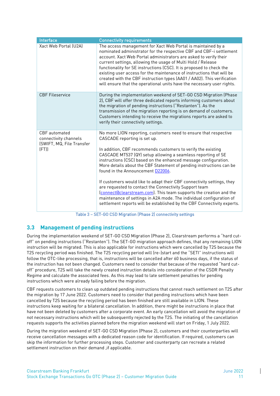| Interface                                                                   | <b>Connectivity requirements</b>                                                                                                                                                                                                                                                                                                                                                                                                                                                                                                                                                                                                                                                                                                                                             |
|-----------------------------------------------------------------------------|------------------------------------------------------------------------------------------------------------------------------------------------------------------------------------------------------------------------------------------------------------------------------------------------------------------------------------------------------------------------------------------------------------------------------------------------------------------------------------------------------------------------------------------------------------------------------------------------------------------------------------------------------------------------------------------------------------------------------------------------------------------------------|
| Xact Web Portal (U2A)                                                       | The access management for Xact Web Portal is maintained by a<br>nominated administrator for the respective CBF and CBF-i settlement<br>account. Xact Web Portal administrators are asked to verify their<br>current settings, allowing the usage of Multi Hold / Release<br>functionality for SE instructions (CSC). It is proposed to check the<br>existing user access for the maintenance of instructions that will be<br>created with the CBF instruction types (AA01 / AA02). This verification<br>will ensure that the operational units have the necessary user rights.                                                                                                                                                                                               |
| <b>CBF Fileservice</b>                                                      | During the implementation weekend of SET-GO CSD Migration (Phase<br>2), CBF will offer three dedicated reports informing customers about<br>the migration of pending instructions ("Restanten"). As the<br>transmission of the migration reporting is on demand of customers.<br>Customers intending to receive the migrations reports are asked to<br>verify their connectivity settings.                                                                                                                                                                                                                                                                                                                                                                                   |
| CBF automated<br>connectivity channels<br>(SWIFT, MQ, File Transfer<br>(FT) | No more LION reporting, customers need to ensure that respective<br>CASCADE reporting is set up.<br>In addition, CBF recommends customers to verify the existing<br>CASCADE MT537 (QY) setup allowing a seamless reporting of SE<br>instructions (CSC) based on the enhanced message configuration.<br>More details about the CBF Statement of pending instructions can be<br>found in the Announcement D22006.<br>If customers would like to adapt their CBF connectivity settings, they<br>are requested to contact the Connectivity Support team<br>(connect@clearstream.com). This team supports the creation and the<br>maintenance of settings in A2A mode. The individual configuration of<br>settlement reports will be established by the CBF Connectivity experts. |

Table 3 – SET-GO CSD Migration (Phase 2) connectivity settings

#### <span id="page-12-0"></span>**3.3 Management of pending instructions**

During the implementation weekend of SET-GO CSD Migration (Phase 2), Clearstream performs a "hard cutoff" on pending instructions ("Restanten"). The SET-GO migration approach defines, that any remaining LION instruction will be migrated. This is also applicable for instructions which were cancelled by T2S because the T2S recycling period was finished. The T2S recycling period will (re-)start and the "SETI" instructions will follow the OTC-like processing, that is, instructions will be cancelled after 60 business days, if the status of the instruction has not been changed. Customers need to consider that because of the requested "hard cutoff" procedure, T2S will take the newly created instruction details into consideration of the CSDR Penalty Regime and calculate the associated fees. As this may lead to late settlement penalties for pending instructions which were already failing before the migration.

CBF requests customers to clean up outdated pending instructions that cannot reach settlement on T2S after the migration by 17 June 2022. Customers need to consider that pending instructions which have been cancelled by T2S because the recycling period has been finished are still available in LION. These instructions keep waiting for a bilateral cancellation. In addition, there might be instructions in place that have not been deleted by customers after a corporate event. An early cancellation will avoid the migration of not necessary instructions which will be subsequently rejected by the T2S. The initiating of the cancellation requests supports the activities planned before the migration weekend will start on Friday, 1 July 2022.

During the migration weekend of SET-GO CSD Migration (Phase 2), customers and their counterparties will receive cancellation messages with a dedicated reason code for identification. If required, customers can skip the information for further processing steps. Customer and counterparty can recreate a related settlement instruction on their demand, if applicable.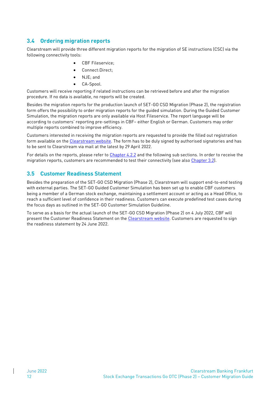## <span id="page-13-0"></span>**3.4 Ordering migration reports**

Clearstream will provide three different migration reports for the migration of SE instructions (CSC) via the following connectivity tools:

- CBF Fileservice;
- Connect:Direct;
- NJE; and
- CA-Spool.

Customers will receive reporting if related instructions can be retrieved before and after the migration procedure. If no data is available, no reports will be created.

Besides the migration reports for the production launch of SET-GO CSD Migration (Phase 2), the registration form offers the possibility to order migration reports for the guided simulation. During the Guided Customer Simulation, the migration reports are only available via Host Fileservice. The report language will be according to customers' reporting pre-settings in CBF– either English or German. Customers may order multiple reports combined to improve efficiency.

Customers interested in receiving the migration reports are requested to provide the filled out registration form available on the [Clearstream website.](https://www.clearstream.com/clearstream-en/products-and-services/settlement/central-bank-money-settlement-csd-/stock-exchange-and-eurex-ccp-trades) The form has to be duly signed by authorised signatories and has to be sent to Clearstream via mail at the latest by 29 April 2022.

For details on the reports, please refer to Chapter 4.2.2 and the following sub sections. In order to receive the migration reports, customers are recommended to test their connectivity (see also Chapter 3.2).

## <span id="page-13-1"></span>**3.5 Customer Readiness Statement**

Besides the preparation of the SET-GO CSD Migration (Phase 2), Clearstream will support end-to-end testing with external parties. The SET-GO Guided Customer Simulation has been set up to enable CBF customers being a member of a German stock exchange, maintaining a settlement account or acting as a Head Office, to reach a sufficient level of confidence in their readiness. Customers can execute predefined test cases during the focus days as outlined in the SET-GO Customer Simulation Guideline.

To serve as a basis for the actual launch of the SET-GO CSD Migration (Phase 2) on 4 July 2022, CBF will present the Customer Readiness Statement on the [Clearstream website.](https://www.clearstream.com/clearstream-en/products-and-services/settlement/central-bank-money-settlement-csd-/stock-exchange-and-eurex-ccp-trades/stock-exchange-and-eurex-central-counterparty-ccp-trades-1275282) Customers are requested to sign the readiness statement by 24 June 2022.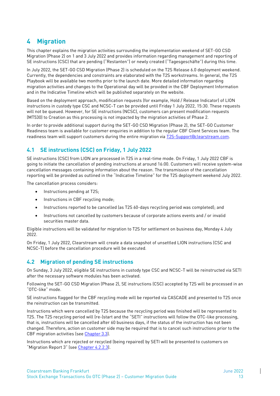## <span id="page-14-0"></span>**4 Migration**

This chapter explains the migration activities surrounding the implementation weekend of SET-GO CSD Migration (Phase 2) on 1 and 3 July 2022 and provides information regarding management and reporting of SE instructions (CSC) that are pending ("Restanten") or newly created ("Tagesgeschäfte") during this time.

In July 2022, the SET-GO CSD Migration (Phase 2) is scheduled on the T2S Release 6.0 deployment weekend. Currently, the dependencies and constraints are elaborated with the T2S workstreams. In general, the T2S Playbook will be available two months prior to the launch date. More detailed information regarding migration activities and changes to the Operational day will be provided in the CBF Deployment Information and in the Indicative Timeline which will be published separately on the website.

Based on the deployment approach, modification requests (for example, Hold / Release Indicator) of LION instructions in custody type CSC and NCSC-T can be provided until Friday 1 July 2022, 15:30. These requests will not be queued. However, for SE instructions (NCSC), customers can present modification requests (MT530) to Creation as this processing is not impacted by the migration activities of Phase 2.

In order to provide additional support during the SET-GO CSD Migration (Phase 2), the SET-GO Customer Readiness team is available for customer enquiries in addition to the regular CBF Client Services team. The readiness team will support customers during the entire migration via [T2S-Support@clearstream.com.](mailto:T2S-Support@clearstream.com)

## <span id="page-14-1"></span>**4.1 SE instructions (CSC) on Friday, 1 July 2022**

SE instructions (CSC) from LION are processed in T2S in a real-time mode. On Friday, 1 July 2022 CBF is going to initiate the cancellation of pending instructions at around 16:00. Customers will receive system-wise cancellation messages containing information about the reason. The transmission of the cancellation reporting will be provided as outlined in the "Indicative Timeline" for the T2S deployment weekend July 2022.

The cancellation process considers:

- Instructions pending at T2S;
- Instructions in CBF recycling mode;
- Instructions reported to be cancelled (as T2S 60-days recycling period was completed); and
- Instructions not cancelled by customers because of corporate actions events and / or invalid securities master data.

Eligible instructions will be validated for migration to T2S for settlement on business day, Monday 4 July 2022.

On Friday, 1 July 2022, Clearstream will create a data snapshot of unsettled LION instructions (CSC and NCSC-T) before the cancellation procedure will be executed.

## <span id="page-14-2"></span>**4.2 Migration of pending SE instructions**

On Sunday, 3 July 2022, eligible SE instructions in custody type CSC and NCSC-T will be reinstructed via SETI after the necessary software modules has been activated.

Following the SET-GO CSD Migration (Phase 2), SE instructions (CSC) accepted by T2S will be processed in an "OTC-like" mode.

SE instructions flagged for the CBF recycling mode will be reported via CASCADE and presented to T2S once the reinstruction can be transmitted.

Instructions which were cancelled by T2S because the recycling period was finished will be represented to T2S. The T2S recycling period will (re-)start and the "SETI" instructions will follow the OTC-like processing, that is, instructions will be cancelled after 60 business days, if the status of the instruction has not been changed. Therefore, action on customer side may be required that is to cancel such instructions prior to the CBF migration activities (see Chapter 3.3).

Instructions which are rejected or recycled (being repaired) by SETI will be presented to customers on "Migration Report 3" (see Chapter 4.2.2.3).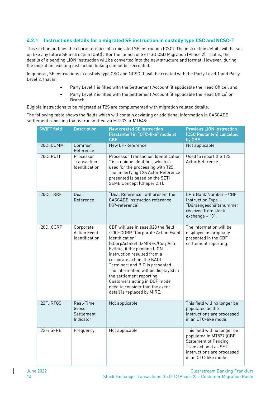## <span id="page-15-0"></span>**4.2.1 Instructions details for a migrated SE instruction in custody type CSC and NCSC-T**

This section outlines the characteristics of a migrated SE instruction (CSC). The instruction details will be set up like any future SE instruction (CSC) after the launch of SET-GO CSD Migration (Phase 2). That is, the details of a pending LION instruction will be converted into the new structure and format. However, during the migration, existing instruction linking cannot be recreated.

In general, SE instructions in custody type CSC and NCSC-T, will be created with the Party Level 1 and Party Level 2, that is:

- Party Level 1 is filled with the Settlement Account (if applicable the Head Office); and
- Party Level 2 is filled with the Settlement Account (if applicable the Head Office) or Branch.

Eligible instructions to be migrated at T2S are complemented with migration related details.

The following table shows the fields which will contain deviating or additional information in CASCADE settlement reporting that is transmitted via MT537 or MT548:

| <b>SWIFT field</b>                                              | <b>Description</b>                                 | <b>New created SE instruction</b><br>(Restanten) in "OTC-like" mode at<br><b>CBF</b>                                                                                                                                                                                                                                                                                                                                                               | <b>Previous LION instruction</b><br>(CSC Restanten) cancelled<br>by CBF                                                                                                      |
|-----------------------------------------------------------------|----------------------------------------------------|----------------------------------------------------------------------------------------------------------------------------------------------------------------------------------------------------------------------------------------------------------------------------------------------------------------------------------------------------------------------------------------------------------------------------------------------------|------------------------------------------------------------------------------------------------------------------------------------------------------------------------------|
| :20C::COMM                                                      | Common<br>Reference                                | New LP-Reference                                                                                                                                                                                                                                                                                                                                                                                                                                   | Not applicable                                                                                                                                                               |
| :20C::PCTI<br>Processor<br>Transaction<br><b>Identification</b> |                                                    | <b>Processor Transaction Identification</b><br>" is a unique identifier, which is<br>used for the processing with T2S.<br>The underlying T2S Actor Reference<br>presented is based on the SETI<br>SEME Concept (Chaper 2.1).                                                                                                                                                                                                                       | Used to report the T2S<br>Actor Reference.                                                                                                                                   |
| :20C::TRRF                                                      | Deal<br>Reference                                  | "Deal Reference" will present the<br><b>CASCADE</b> instruction reference<br>(KP-reference).                                                                                                                                                                                                                                                                                                                                                       | LP + Bank Number + CBF<br>Instruction Type +<br>"Börsengeschäftsnummer"<br>received from stock<br>$exchange + "0".$                                                          |
| :20C::CORP                                                      | Corporate<br><b>Action Event</b><br>Identification | CBF will use in sese.023 the field<br>:20C::CORP "Corporate Action Event<br>Identification"<br>( <corpactnevtid>MIREEvtld&gt;), if the pending LION<br/>instruction resulted from a<br/>corporate action, the KADI<br/>Terminart and BID is presented.<br/>The information will be displayed in<br/>the settlement reporting.<br/>Customers acting in DCP mode<br/>need to consider that the event<br/>detail is replaced by MIRE.</corpactnevtid> | The information will be<br>displayed as originally<br>presented in the CBF<br>settlement reporting.                                                                          |
| :22F::RTGS                                                      | Real-Time<br>Gross<br>Settlement<br>Indicator      | Not applicable                                                                                                                                                                                                                                                                                                                                                                                                                                     | This field will no longer be<br>populated as the<br>instructions are processed<br>in an OTC-like mode.                                                                       |
| :22F::SFRE                                                      | Frequency                                          | Not applicable                                                                                                                                                                                                                                                                                                                                                                                                                                     | This field will no longer be<br>populated in MT537 (CBF<br><b>Statement of Pending</b><br><b>Transactions) as SETI</b><br>instructions are processed<br>in an OTC-like mode. |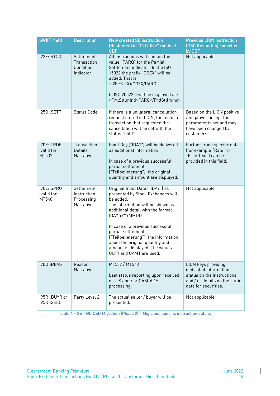| <b>SWIFT field</b><br><b>Description</b> |                                                             | <b>New created SE instruction</b><br>(Restanten) in "OTC-like" mode at<br><b>CBF</b>                                                                                                                                                                                                                                                                                                  | <b>Previous LION instruction</b><br>(CSC Restanten) cancelled<br>by CBF                                                              |  |
|------------------------------------------|-------------------------------------------------------------|---------------------------------------------------------------------------------------------------------------------------------------------------------------------------------------------------------------------------------------------------------------------------------------------------------------------------------------------------------------------------------------|--------------------------------------------------------------------------------------------------------------------------------------|--|
| :22F::STCO                               | Settlement<br>Transaction<br>Condition<br>Indicator         | All instructions will contain the<br>value "PARQ" for the Partial<br>Settlement indicator. In the ISO<br>15022 the prefix "COEX" will be<br>added. That is,<br>:22F::STCO/COEX/PARQ<br>In ISO 20022 it will be displayed as:<br><prtlsttlmind>PARQ</prtlsttlmind>                                                                                                                     | Not applicable                                                                                                                       |  |
| :25D::SETT                               | <b>Status Code</b>                                          | If there is a unilateral cancellation<br>request stored in LION, the leg of a<br>transaction that requested the<br>cancellation will be set with the<br>status "hold".                                                                                                                                                                                                                | Based on the LION positive<br>/ negative concept the<br>parameter is set and may<br>have been changed by<br>customers.               |  |
| :70E::TRDE<br>(valid for<br>MT537)       | Transaction<br>Details<br>Narrative                         | Input Day ("IDAY") will be delivered<br>as additional information.<br>In case of a previous successful<br>partial settlement<br>("Teilbelieferung"), the original<br>quantity and amount are displayed.                                                                                                                                                                               | Further trade specific data<br>(for example "Rate" or<br>"Free Text") can be<br>provided in this field.                              |  |
| :70E::SPRO<br>(valid for<br>MT548)       | Settlement<br>Instruction<br>Processing<br><b>Narrative</b> | Original Input Date ("IDAY") as<br>presented by Stock Exchanges will<br>be added.<br>The information will be shown as<br>additional detail with the format<br><b>IDAY YYYYMMDD</b><br>In case of a previous successful<br>partial settlement<br>("Teilbelieferung"), the information<br>about the original quantity and<br>amount is displayed. The values<br>OQTY and OAMT are used. | Not applicable                                                                                                                       |  |
| :70D::REAS                               | Reason<br><b>Narrative</b>                                  | MT537 / MT548<br>Last status reporting upon received<br>of T2S and / or CASCADE<br>processing.                                                                                                                                                                                                                                                                                        | LION keys providing<br>dedicated information<br>status on the instructions<br>and / or details on the static<br>data for securities. |  |
| :95R::BUYR or<br>:95R::SELL              | Party Level 2                                               | The actual seller / buyer will be<br>presented.                                                                                                                                                                                                                                                                                                                                       | Not applicable                                                                                                                       |  |

Table 4 – SET-GO CSD Migration (Phase 2) – Migration specific instruction details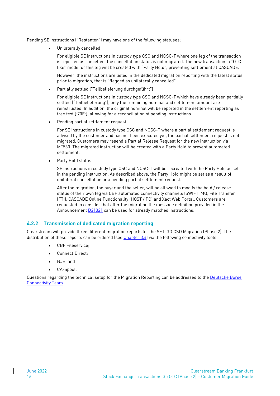Pending SE instructions ("Restanten") may have one of the following statuses:

Unilaterally cancelled

For eligible SE instructions in custody type CSC and NCSC-T where one leg of the transaction is reported as cancelled, the cancellation status is not migrated. The new transaction in "OTClike" mode for this leg will be created with "Party Hold", preventing settlement at CASCADE.

However, the instructions are listed in the dedicated migration reporting with the latest status prior to migration, that is "flagged as unilaterally cancelled".

• Partially settled ("Teilbelieferung durchgeführt")

For eligible SE instructions in custody type CSC and NCSC-T which have already been partially settled ("Teilbelieferung"), only the remaining nominal and settlement amount are reinstructed. In addition, the original nominal will be reported in the settlement reporting as free text (:70E:), allowing for a reconciliation of pending instructions.

• Pending partial settlement request

For SE instructions in custody type CSC and NCSC-T where a partial settlement request is advised by the customer and has not been executed yet, the partial settlement request is not migrated. Customers may resend a Partial Release Request for the new instruction via MT530. The migrated instruction will be created with a Party Hold to prevent automated settlement.

Party Hold status

SE instructions in custody type CSC and NCSC-T will be recreated with the Party Hold as set in the pending instruction. As described above, the Party Hold might be set as a result of unilateral cancellation or a pending partial settlement request.

After the migration, the buyer and the seller, will be allowed to modify the hold / release status of their own leg via CBF automated connectivity channels (SWIFT, MQ, File Transfer (FT)), CASCADE Online Functionality (HOST / PC) and Xact Web Portal. Customers are requested to consider that after the migration the message definition provided in the Announcement [D21021](https://clearstream.com/clearstream-en/products-and-services/settlement/d21021-2622058) can be used for already matched instructions.

#### <span id="page-17-0"></span>**4.2.2 Transmission of dedicated migration reporting**

Clearstream will provide three different migration reports for the SET-GO CSD Migration (Phase 2). The distribution of these reports can be ordered (see  $Chapter 3.4$ ) via the following connectivity tools:</u>

- CBF Fileservice;
- Connect:Direct;
- NJE; and
- CA-Spool.

Questions regarding the technical setup for the Migration Reporting can be addressed to the [Deutsche Börse](mailto:syscbf@deutsche-boerse.com)  [Connectivity Team.](mailto:syscbf@deutsche-boerse.com)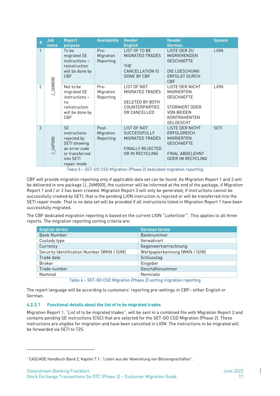| #              | <b>Job</b><br>name                                                     | <b>Report</b><br>purpose                                                                                                | <b>Availability</b>             | <b>Header</b><br><b>English</b>                                                                            | <b>Header</b><br><b>German</b>                                                                                                 | <b>System</b> |
|----------------|------------------------------------------------------------------------|-------------------------------------------------------------------------------------------------------------------------|---------------------------------|------------------------------------------------------------------------------------------------------------|--------------------------------------------------------------------------------------------------------------------------------|---------------|
| 1              |                                                                        | To be<br>migrated SE<br>instructions -<br>reinstruction<br>will be done by<br><b>CBF</b>                                | Pre-<br>Migration<br>Reporting  | LIST OF TO BE<br>MIGRATED TRADES<br><b>THF</b><br><b>CANCELLATION IS</b><br>DONE BY CBF                    | LISTE DER ZU<br>MIGRIERENDEN<br><b>GESCHAEFTE</b><br>DIE LOESCHUNG<br><b>ERFOLGT DURCH</b><br><b>CBF</b>                       | <b>LION</b>   |
| $\mathfrak{p}$ | $J_2$ 26M000                                                           | Not to be<br>migrated SE<br>instructions -<br>no<br>reinstruction<br>will be done by<br><b>CBF</b>                      | Pre-<br>Migration<br>Reporting  | LIST OF NOT<br>MIGRATED TRADES<br>DELETED BY BOTH<br><b>COUNTERPARTIES</b><br>OR CANCELLED                 | LISTE DER NICHT<br>MIGRIERTEN<br><b>GESCHAEFTE</b><br>STORNIERT ODER<br><b>VON BEIDEN</b><br>KONTRAHENTEN<br><b>GELOESCHT</b>  | <b>LION</b>   |
| 3              | $J_2$ 26 $P$ 000                                                       | <b>SE</b><br>instructions<br>rejected by<br>SETI showing<br>an error code<br>or transferred<br>into SETI<br>repair mode | Post-<br>Migration<br>Reporting | LIST OF NOT<br><b>SUCCESSFULLY</b><br><b>MIGRATED TRADES</b><br><b>FINALLY REJECTED</b><br>OR IN RECYCLING | <b>LISTE DER NICHT</b><br>ERFOLGREICH<br><b>MIGRIERTEN</b><br><b>GESCHAEFTE</b><br>FINAL ABGELEHNT<br><b>ODER IM RECYCLING</b> | <b>SETI</b>   |
|                | Table 5 - SET-GO CSD Migration (Phase 2) dedicated migration reporting |                                                                                                                         |                                 |                                                                                                            |                                                                                                                                |               |

CBF will provide migration reporting only if applicable data set can be found. As Migration Report 1 and 2 will be delivered in one package (J 26M000), the customer will be informed at the end of the package, if Migration Report 1 and / or 2 has been created. Migration Report 3 will only be generated, if instructions cannot be successfully created by SETI, that is the pending LION instruction is rejected or will be transferred into the SETI repair mode. That is no data set will be provided if all instructions listed in Migration Report 1 have been successfully migrated.

The CBF dedicated migration reporting is based on the current LION "Lieferliste"<sup>1</sup> . This applies to all three reports. The migration reporting sorting criteria are:

| Wertpapierkennung (WKN / ISIN) |
|--------------------------------|
|                                |
|                                |
|                                |
|                                |
|                                |

Table 6 – SET-GO CSD Migration (Phase 2) sorting migration reporting

The report language will be according to customers' reporting pre-settings in CBF– either English or German.

#### <span id="page-18-0"></span>**4.2.2.1 Functional details about the list of to be migrated trades**

Migration Report 1, "List of to be migrated trades", will be sent in a combined file with Migration Report 2 and contains pending SE instructions (CSC) that are selected for the SET-GO CSD Migration (Phase 2). These instructions are eligible for migration and have been cancelled in LION. The instructions to be migrated will be forwarded via SETI to T2S.

<sup>1</sup> CASCADE Handbuch Band 2, Kapitel 7.1: "Listen aus der Abwicklung von Börsengeschäften".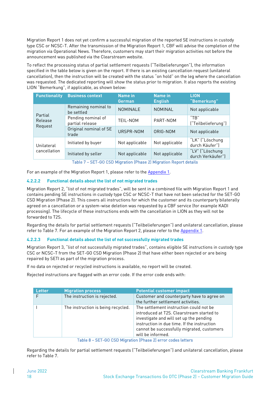Migration Report 1 does not yet confirm a successful migration of the reported SE instructions in custody type CSC or NCSC-T. After the transmission of the Migration Report 1, CBF will advise the completion of the migration via Operational News. Therefore, customers may start their migration activities not before the announcement was published via the Clearstream website.

To reflect the processing status of partial settlement requests ("Teilbelieferungen"), the information specified in the table below is given on the report. If there is an existing cancellation request (unilateral cancellation), then the instruction will be created with the status "on hold" on the leg where the cancellation was requested. The dedicated reporting will show the status prior to migration. It also reports the existing LION "Bemerkung", if applicable, as shown below:

| <b>Functionality</b> | <b>Business context</b>               | Name in<br>German | Name in<br><b>English</b> | <b>LION</b><br>"Bemerkung"           |
|----------------------|---------------------------------------|-------------------|---------------------------|--------------------------------------|
| Partial              | Remaining nominal to<br>be settled    | <b>NOMINALE</b>   | <b>NOMINAL</b>            | Not applicable                       |
| Release<br>Request   | Pending nominal of<br>partial release | TEIL-NOM          | PART-NOM                  | "TR"<br>("Teilbelieferung")          |
|                      | Original nominal of SE<br>trade       | URSPR-NOM         | ORIG-NOM                  | Not applicable                       |
| Unilateral           | Initiated by buyer                    | Not applicable    | Not applicable            | "LK" ("Löschung<br>durch Käufer")    |
| cancellation         | Initiated by seller                   | Not applicable    | Not applicable            | "LV" ("Löschung<br>durch Verkäufer") |

Table 7 – SET-GO CSD Migration (Phase 2) Migration Report details

For an example of the Migration Report 1, please refer to the Appendix 1.

#### <span id="page-19-0"></span>**4.2.2.2 Functional details about the list of not migrated trades**

Migration Report 2, "list of not migrated trades", will be sent in a combined file with Migration Report 1 and contains pending SE instructions in custody type CSC or NCSC-T that have not been selected for the SET-GO CSD Migration (Phase 2). This covers all instructions for which the customer and its counterparty bilaterally agreed on a cancellation or a system-wise deletion was requested by a CBF service (for example KADI processing). The lifecycle of these instructions ends with the cancellation in LION as they will not be forwarded to T2S.

Regarding the details for partial settlement requests ("Teilbelieferungen") and unilateral cancellation, please refer to Table 7. For an example of the Migration Report 2, please refer to the Appendix 1.

#### <span id="page-19-1"></span>**4.2.2.3 Functional details about the list of not successfully migrated trades**

Migration Report 3, "list of not successfully migrated trades", contains eligible SE instructions in custody type CSC or NCSC-T from the SET-GO CSD Migration (Phase 2) that have either been rejected or are being repaired by SETI as part of the migration process.

If no data on rejected or recycled instructions is available, no report will be created.

Rejected instructions are flagged with an error code. If the error code ends with:

| <b>Letter</b>                                                         | <b>Migration process</b>           | <b>Potential customer impact</b>                                                                                                                                                                                                                  |  |  |
|-----------------------------------------------------------------------|------------------------------------|---------------------------------------------------------------------------------------------------------------------------------------------------------------------------------------------------------------------------------------------------|--|--|
|                                                                       | The instruction is rejected.       | Customer and counterparty have to agree on                                                                                                                                                                                                        |  |  |
|                                                                       |                                    | the further settlement activities.                                                                                                                                                                                                                |  |  |
|                                                                       | The instruction is being recycled. | The settlement instruction could not be<br>introduced at T2S. Clearstream started to<br>investigate and will set up the pending<br>instruction in due time. If the instruction<br>cannot be successfully migrated, customers<br>will be informed. |  |  |
| CET CO CCD Migration (Dhose 2) experiencedes letters<br>$T0$ $h1$ , 0 |                                    |                                                                                                                                                                                                                                                   |  |  |

Table 8 – SET-GO CSD Migration (Phase 2) error codes letters

Regarding the details for partial settlement requests ("Teilbelieferungen") and unilateral cancellation, please refer to Table 7.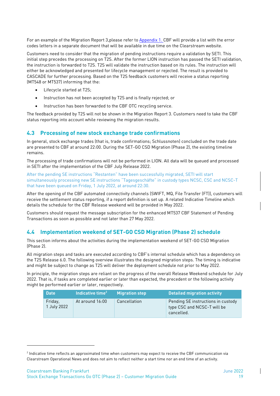For an example of the Migration Report 3, please refer to Appendix 1. CBF will provide a list with the error codes letters in a separate document that will be available in due time on the Clearstream website.

Customers need to consider that the migration of pending instructions require a validation by SETI. This initial step precedes the processing on T2S. After the former LION instruction has passed the SETI validation, the instruction is forwarded to T2S. T2S will validate the instruction based on its rules. The instruction will either be acknowledged and presented for lifecycle management or rejected. The result is provided to CASCADE for further processing. Based on the T2S feedback customers will receive a status reporting (MT548 or MT537) informing that the:

- Lifecycle started at T2S;
- Instruction has not been accepted by T2S and is finally rejected; or
- Instruction has been forwarded to the CBF OTC recycling service.

The feedback provided by T2S will not be shown in the Migration Report 3. Customers need to take the CBF status reporting into account while reviewing the migration results.

#### <span id="page-20-0"></span>**4.3 Processing of new stock exchange trade confirmations**

In general, stock exchange trades (that is, trade confirmations; Schlussnoten) concluded on the trade date are presented to CBF at around 22:00. During the SET-GO CSD Migration (Phase 2), the existing timeline remains.

The processing of trade confirmations will not be performed in LION. All data will be queued and processed in SETI after the implementation of the CBF July Release 2022.

After the pending SE instructions "Restanten" have been successfully migrated, SETI will start simultaneously processing new SE instructions "Tagesgeschäfte" in custody types NCSC, CSC and NCSC-T that have been queued on Friday, 1 July 2022, at around 22:30.

After the opening of the CBF automated connectivity channels (SWIFT, MQ, File Transfer (FT)), customers will receive the settlement status reporting, if a report definition is set up. A related Indicative Timeline which details the schedule for the CBF Release weekend will be provided in May 2022.

Customers should request the message subscription for the enhanced MT537 CBF Statement of Pending Transactions as soon as possible and not later than 27 May 2022.

#### <span id="page-20-1"></span>**4.4 Implementation weekend of SET-GO CSD Migration (Phase 2) schedule**

This section informs about the activities during the implementation weekend of SET-GO CSD Migration (Phase 2).

All migration steps and tasks are executed according to CBF's internal schedule which has a dependency on the T2S Release 6.0. The following overview illustrates the designed migration steps. The timing is indicative and might be subject to change as T2S will deliver the deployment schedule not prior to May 2022.

In principle, the migration steps are reliant on the progress of the overall Release Weekend schedule for July 2022. That is, if tasks are completed earlier or later than expected, the precedent or the following activity might be performed earlier or later, respectively.

| <b>Date</b>            | Indicative time <sup>2</sup> | <b>Migration step</b> | <b>Detailed migration activity</b>                                              |
|------------------------|------------------------------|-----------------------|---------------------------------------------------------------------------------|
| Friday,<br>1 July 2022 | At around 16:00              | Cancellation          | Pending SE instructions in custody<br>type CSC and NCSC-T will be<br>cancelled. |

 $^2$  Indicative time reflects an approximated time when customers may expect to receive the CBF communication via Clearstream Operational News and does not aim to reflect neither a start time nor an end time of an activity.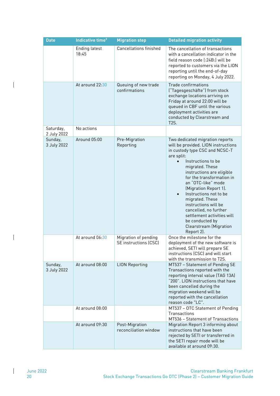| <b>Date</b>              | Indicative time <sup>2</sup> | <b>Migration step</b>                         | <b>Detailed migration activity</b>                                                                                                                                                                                                                                                                                                                                                                                                                                           |
|--------------------------|------------------------------|-----------------------------------------------|------------------------------------------------------------------------------------------------------------------------------------------------------------------------------------------------------------------------------------------------------------------------------------------------------------------------------------------------------------------------------------------------------------------------------------------------------------------------------|
|                          | Ending latest<br>18:45       | <b>Cancellations finished</b>                 | The cancellation of transactions<br>with a cancellation indicator in the<br>field reason code (:24B:) will be<br>reported to customers via the LION<br>reporting until the end-of-day<br>reporting on Monday, 4 July 2022.                                                                                                                                                                                                                                                   |
|                          | At around 22:30              | Queuing of new trade<br>confirmations         | <b>Trade confirmations</b><br>("Tagesgeschäfte") from stock<br>exchange locations arriving on<br>Friday at around 22:00 will be<br>queued in CBF until the various<br>deployment activities are<br>conducted by Clearstream and<br>T2S.                                                                                                                                                                                                                                      |
| Saturday,<br>2 July 2022 | No actions                   |                                               |                                                                                                                                                                                                                                                                                                                                                                                                                                                                              |
| Sunday,<br>3 July 2022   | Around 05:00                 | Pre-Migration<br>Reporting                    | Two dedicated migration reports<br>will be provided. LION instructions<br>in custody type CSC and NCSC-T<br>are split:<br>Instructions to be<br>migrated. These<br>instructions are eligible<br>for the transformation in<br>an "OTC-like" mode<br>(Migration Report 1).<br>Instructions not to be<br>$\bullet$<br>migrated. These<br>instructions will be<br>cancelled, no further<br>settlement activities will<br>be conducted by<br>Clearstream (Migration<br>Report 2). |
|                          | At around 06:30              | Migration of pending<br>SE instructions (CSC) | Once the milestone for the<br>deployment of the new software is<br>achieved, SETI will prepare SE<br>instructions (CSC) and will start<br>with the transmission to T2S.                                                                                                                                                                                                                                                                                                      |
| Sunday,<br>3 July 2022   | At around 08:00              | <b>LION Reporting</b>                         | MT537 - Statement of Pending SE<br>Transactions reported with the<br>reporting interval value (TAG 13A)<br>"200". LION instructions that have<br>been cancelled during the<br>migration weekend will be<br>reported with the cancellation<br>reason code "LC".                                                                                                                                                                                                               |
|                          | At around 08:00              |                                               | MT537 - OTC Statement of Pending<br>Transactions<br>MT536 - Statement of Transactions                                                                                                                                                                                                                                                                                                                                                                                        |
|                          | At around 09:30              | Post-Migration<br>reconciliation window       | Migration Report 3 informing about<br>instructions that have been<br>rejected by SETI or transferred in<br>the SETI repair mode will be<br>available at around 09:30.                                                                                                                                                                                                                                                                                                        |

 $\overline{\phantom{a}}$ 

 $\begin{array}{c} \hline \end{array}$ 

 $\begin{array}{c} \hline \end{array}$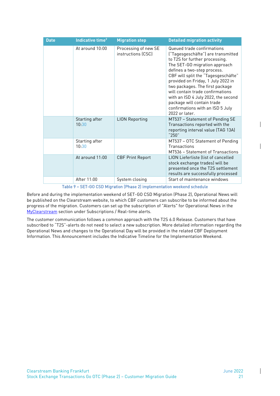| <b>Date</b> | Indicative time <sup>2</sup> | <b>Migration step</b>                      | <b>Detailed migration activity</b>                                                                                                                                                                                                                                                                                                                                                                                                                |
|-------------|------------------------------|--------------------------------------------|---------------------------------------------------------------------------------------------------------------------------------------------------------------------------------------------------------------------------------------------------------------------------------------------------------------------------------------------------------------------------------------------------------------------------------------------------|
|             | At around $10:00$            | Processing of new SE<br>instructions (CSC) | Queued trade confirmations<br>("Tagesgeschäfte") are transmitted<br>to T2S for further processing.<br>The SET-GO migration approach<br>defines a two-step process.<br>CBF will split the "Tagesgeschäfte"<br>provided on Friday, 1 July 2022 in<br>two packages. The first package<br>will contain trade confirmations<br>with an ISD 4 July 2022, the second<br>package will contain trade<br>confirmations with an ISD 5 July<br>2022 or later. |
|             | Starting after<br>10:30      | <b>LION Reporting</b>                      | MT537 - Statement of Pending SE<br>Transactions reported with the<br>reporting interval value (TAG 13A)<br>"250"                                                                                                                                                                                                                                                                                                                                  |
|             | Starting after<br>10:30      |                                            | MT537 – OTC Statement of Pending<br>Transactions<br>MT536 - Statement of Transactions                                                                                                                                                                                                                                                                                                                                                             |
|             | At around 11:00              | <b>CBF Print Report</b>                    | LION Lieferliste (list of cancelled<br>stock exchange trades) will be<br>presented once the T2S settlement<br>results are successfully processed                                                                                                                                                                                                                                                                                                  |
|             | After 11:00                  | System closing                             | Start of maintenance windows                                                                                                                                                                                                                                                                                                                                                                                                                      |

Table 9 – SET-GO CSD Migration (Phase 2) implementation weekend schedule

Before and during the implementation weekend of SET-GO CSD Migration (Phase 2), Operational News will be published on the Clearstream website, to which CBF customers can subscribe to be informed about the progress of the migration. Customers can set up the subscription of "Alerts" for Operational News in the [MyClearstream](https://www.clearstream.com/clearstream-en/mycs/login) section under Subscriptions / Real-time alerts.

The customer communication follows a common approach with the T2S 6.0 Release. Customers that have subscribed to "T2S"-alerts do not need to select a new subscription. More detailed information regarding the Operational News and changes to the Operational Day will be provided in the related CBF Deployment Information. This Announcement includes the Indicative Timeline for the Implementation Weekend.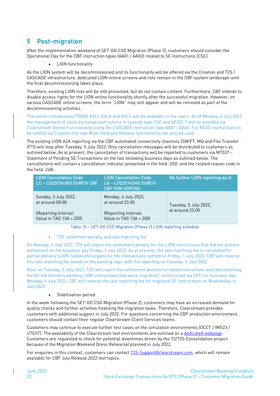## <span id="page-23-0"></span>**5 Post-migration**

After the implementation weekend of SET-GO CSD Migration (Phase 2), customers should consider the Operational Day for the CBF instruction types (AA01 / AA02) related to SE instructions (CSC).

• LION functionality

As the LION system will be decommissioned and its functionality will be offered via the Creation and T2S / CASCADE infrastructure, dedicated LION online screens and lists remain in the CBF system landscape until the final decommissioning takes place.

Therefore, existing LION lists will be still presented, but do not contain content. Furthermore, CBF intends to disable access rights for the LION online functionality shortly after the successful migration. However, on various CASCADE online screens, the term "LION" may still appear and will be removed as part of the decommissioning activities.

The online transactions (TRAN) KVLI, KVLA and KVLS will be available to the users. As of Monday, 4 July 2022 the management of stock exchange instructions in custody type CSC and NCSC-T will be possible via Clearstream Online Functionality using the CASCADE instruction type AA01 / AA02. For NCSC instructions to be settled via Creation the new Multi Hold and Release functionality can also be used.

The existing LION A2A reporting via the CBF automated connectivity channels (SWIFT, MQ and File Transfer (FT)) will stop after Tuesday, 5 July 2022. Only cancellation messages will be distributed to customers as outlined below. As at present, the cancellation of transactions will be reported to customers via MT537 – Statement of Pending SE Transactions on the two following business days as outlined below. The cancellations will contain a cancellation indicator presented in the field :25D: and the related reason code in the field :24B:.

| <b>LION Cancellation Code</b><br>LC - LOESCHUNG DURCH CBF | <b>LION Cancellation Code</b><br><b>LG - LOESCHUNG DURCH</b><br><b>CBF VOM VORTAG</b> | No further LION reporting as of |
|-----------------------------------------------------------|---------------------------------------------------------------------------------------|---------------------------------|
| Sunday, 3 July 2022,<br>at around 08:00                   | Monday, 4 July 2022,<br>at around 23:00                                               | Tuesday, 5 July 2022,           |
| (Reporting Interval:<br>Value in TAG 13A = 200)           | (Reporting Interval:<br>Value in TAG 13A = 200)                                       | at around 23:00                 |

#### Table 10 – SET-GO CSD Migration (Phase 2) LION reporting schedule

• T2S settlement penalty and late matching fee

On Monday, 4 July 2022, T2S will report the settlement penalty for the LION instructions that did not achieve settlement on the business day Friday, 1 July 2022. As at present, the late matching fee is calculated for partial delivery (LION Teilbelieferungen) for the transactions settled on Friday, 1 July 2022. CBF will reverse this late matching fee based on the existing logic with the reporting on Tuesday, 5 July 2022.

Also, on Tuesday, 5 July 2022, T2S will report the settlement penalty for failed instructions and late matching fee for the formerly pending LION instructions that were migrated / reinstructed via SETI for business day, Monday, 4 July 2022. CBF will reverse the late matching fee for migrated SE instructions on Wednesday, 6 July 2022.

Stabilisation period

In the week following the SET-GO CSD Migration (Phase 2), customers may have an increased demand for quality checks and further activities finalising the migration tasks. Therefore, Clearstream provides customers with additional support in July 2022. For questions concerning the CBF production environment, customers should contact their regular Clearstream Client Services teams.

Customers may continue to execute further test cases on the simulation environments (OCCT / IMS23 / UTEST). The availability of the Clearstream test environments are outlined on [a dedicated webpage.](https://www.clearstream.com/clearstream-en/products-and-services/connectivity-1-/cascade/testing-and-simulation/availability-customer-simulation)  Customers are requested to check for potential downtimes driven by the T2/T2S Consolidation project because of the Migration Weekend Dress Rehearsal planned in July 2022.

For enquiries in this context, customers can contac[t T2S-Support@clearstream.com,](mailto:T2S-Support@clearstream.com) which will remain available for CBF July Release 2022 test topics.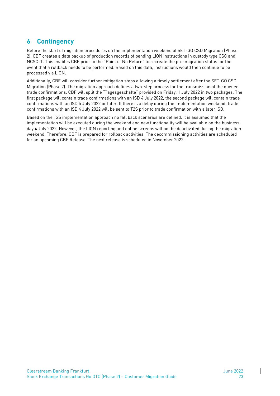## <span id="page-24-0"></span>**6 Contingency**

Before the start of migration procedures on the implementation weekend of SET-GO CSD Migration (Phase 2), CBF creates a data backup of production records of pending LION instructions in custody type CSC and NCSC-T. This enables CBF prior to the "Point of No Return" to recreate the pre-migration status for the event that a rollback needs to be performed. Based on this data, instructions would then continue to be processed via LION.

Additionally, CBF will consider further mitigation steps allowing a timely settlement after the SET-GO CSD Migration (Phase 2). The migration approach defines a two-step process for the transmission of the queued trade confirmations. CBF will split the "Tagesgeschäfte" provided on Friday, 1 July 2022 in two packages. The first package will contain trade confirmations with an ISD 4 July 2022, the second package will contain trade confirmations with an ISD 5 July 2022 or later. If there is a delay during the implementation weekend, trade confirmations with an ISD 4 July 2022 will be sent to T2S prior to trade confirmation with a later ISD.

Based on the T2S implementation approach no fall back scenarios are defined. It is assumed that the implementation will be executed during the weekend and new functionality will be available on the business day 4 July 2022. However, the LION reporting and online screens will not be deactivated during the migration weekend. Therefore, CBF is prepared for rollback activities. The decommissioning activities are scheduled for an upcoming CBF Release. The next release is scheduled in November 2022.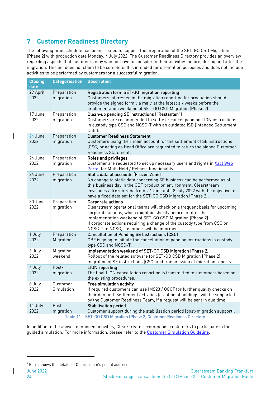## <span id="page-25-0"></span>**7 Customer Readiness Directory**

The following time schedule has been created to support the preparation of the SET-GO CSD Migration (Phase 2) with production date Monday, 4 July 2022. The Customer Readiness Directory provides an overview regarding aspects that customers may want or have to consider in their activities before, during and after the migration. This list does not claim to be complete. It is intended for orientation purposes and does not include activities to be performed by customers for a successful migration.

| <b>Closing</b><br>date | <b>Categorisation</b>    | <b>Description</b>                                                                                                                                                                                                                                                                                                                                            |
|------------------------|--------------------------|---------------------------------------------------------------------------------------------------------------------------------------------------------------------------------------------------------------------------------------------------------------------------------------------------------------------------------------------------------------|
| 29 April<br>2022       | Preparation<br>migration | Registration form SET-GO migration reporting<br>Customers interested in the migration reporting for production should<br>provide the signed form via mail <sup>3</sup> at the latest six weeks before the<br>implementation weekend of SET-GO CSD Migration (Phase 2).                                                                                        |
| 17 June<br>2022        | Preparation<br>migration | Clean-up pending SE instructions ("Restanten")<br>Customers are recommended to settle or cancel pending LION instructions<br>in custody type CSC and NCSC-T with an outdated ISD (Intended Settlement<br>Date).                                                                                                                                               |
| 24 June<br>2022        | Preparation<br>migration | <b>Customer Readiness Statement</b><br>Customers using their main account for the settlement of SE instructions<br>(CSC) or acting as Head Office are requested to return the signed Customer<br>Readiness Statement.                                                                                                                                         |
| 24 June<br>2022        | Preparation<br>migration | Roles and privileges<br>Customer are requested to set up necessary users and rights in Xact Web<br>Portal for Multi Hold / Release functionality.                                                                                                                                                                                                             |
| 24 June<br>2022        | Preparation<br>migration | <b>Static data of accounts (Frozen Zone)</b><br>No change to static data concerning SE business can be performed as of<br>this business day in the CBF production environment. Clearstream<br>envisages a frozen zone from 27 June until 8 July 2022 with the objective to<br>have a fixed data set for the SET-GO CSD Migration (Phase 2).                   |
| $30$ June<br>2022      | Preparation<br>migration | <b>Corporate actions</b><br>Clearstream operational teams will check on a frequent basis for upcoming<br>corporate actions, which might be shortly before or after the<br>implementation weekend of SET-GO CSD Migration (Phase 2).<br>If corporate actions requiring a change of the custody type from CSC or<br>NCSC-T to NCSC, customers will be informed. |
| 1 July<br>2022         | Preparation<br>Migration | <b>Cancellation of Pending SE Instructions (CSC)</b><br>CBF is going to initiate the cancellation of pending instructions in custody<br>type CSC and NCSC-T.                                                                                                                                                                                                  |
| 3 July<br>2022         | Migration<br>weekend     | Implementation weekend of SET-GO CSD Migration (Phase 2)<br>Rollout of the related software for SET-GO CSD Migration (Phase 2),<br>migration of SE instructions (CSC) and transmission of migration reports.                                                                                                                                                  |
| 4 July<br>2022         | Post-<br>migration       | <b>LION</b> reporting<br>The final LION cancellation reporting is transmitted to customers based on<br>the existing procedures.                                                                                                                                                                                                                               |
| 8 July<br>2022         | Customer<br>Simulation   | <b>Free simulation activity</b><br>If required customers can use IMS23 / OCCT for further quality checks on<br>their demand. Settlement activities (creation of holdings) will be supported<br>by the Customer Readiness Team, if a request will be sent in due time.                                                                                         |
| 11 July<br>2022        | Post-<br>migration       | <b>Stabilisation period</b><br>Customer support during the stabilisation period (post-migration support).                                                                                                                                                                                                                                                     |
|                        |                          | Table 11 - SET-GO CSD Migration (Phase 2) Customer Readiness Directory                                                                                                                                                                                                                                                                                        |

In addition to the above-mentioned activities, Clearstream recommends customers to participate in the guided simulation. For more information, please refer to th[e Customer Simulation](https://www.clearstream.com/clearstream-en/products-and-services/connectivity-1-/cascade/testing-and-simulation) Guideline.

 $3$  Form shows the details of Clearstream's postal address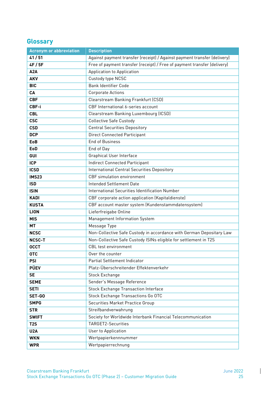## <span id="page-26-0"></span>**Glossary**

| <b>Acronym or abbreviation</b> | <b>Description</b>                                                       |
|--------------------------------|--------------------------------------------------------------------------|
| 41/51                          | Against payment transfer (receipt) / Against payment transfer (delivery) |
| 4F / 5F                        | Free of payment transfer (receipt) / Free of payment transfer (delivery) |
| A2A                            | <b>Application to Application</b>                                        |
| <b>AKV</b>                     | Custody type NCSC                                                        |
| <b>BIC</b>                     | <b>Bank Identifier Code</b>                                              |
| <b>CA</b>                      | <b>Corporate Actions</b>                                                 |
| <b>CBF</b>                     | Clearstream Banking Frankfurt (CSD)                                      |
| CBF-i                          | CBF International 6-series account                                       |
| <b>CBL</b>                     | Clearstream Banking Luxembourg (ICSD)                                    |
| <b>CSC</b>                     | <b>Collective Safe Custody</b>                                           |
| <b>CSD</b>                     | <b>Central Securities Depository</b>                                     |
| <b>DCP</b>                     | <b>Direct Connected Participant</b>                                      |
| EoB                            | <b>End of Business</b>                                                   |
| EoD                            | End of Day                                                               |
| GUI                            | Graphical User Interface                                                 |
| <b>ICP</b>                     | <b>Indirect Connected Participant</b>                                    |
| <b>ICSD</b>                    | International Central Securities Depository                              |
| <b>IMS23</b>                   | <b>CBF</b> simulation environment                                        |
| <b>ISD</b>                     | Intended Settlement Date                                                 |
| <b>ISIN</b>                    | International Securities Identification Number                           |
| <b>KADI</b>                    | CBF corporate action application (Kapitaldienste)                        |
| <b>KUSTA</b>                   | CBF account master system (Kundenstammdatensystem)                       |
| <b>LION</b>                    | Lieferfreigabe Online                                                    |
| <b>MIS</b>                     | Management Information System                                            |
| <b>MT</b>                      | Message Type                                                             |
| <b>NCSC</b>                    | Non-Collective Safe Custody in accordance with German Depositary Law     |
| <b>NCSC-T</b>                  | Non-Collective Safe Custody ISINs eligible for settlement in T2S         |
| <b>OCCT</b>                    | <b>CBL</b> test environment                                              |
| <b>OTC</b>                     | Over the counter                                                         |
| <b>PSI</b>                     | Partial Settlement Indicator                                             |
| <b>PÜEV</b>                    | Platz-Überschreitender Effektenverkehr                                   |
| <b>SE</b>                      | Stock Exchange                                                           |
| <b>SEME</b>                    | Sender's Message Reference                                               |
| <b>SETI</b>                    | <b>Stock Exchange Transaction Interface</b>                              |
| SET-GO                         | Stock Exchange Transactions Go OTC                                       |
| <b>SMPG</b>                    | Securities Market Practice Group                                         |
| <b>STR</b>                     | Streifbandverwahrung                                                     |
| <b>SWIFT</b>                   | Society for Worldwide Interbank Financial Telecommunication              |
| <b>T2S</b>                     | <b>TARGET2-Securities</b>                                                |
| <b>U2A</b>                     | User to Application                                                      |
| <b>WKN</b>                     | Wertpapierkennnummer                                                     |
| <b>WPR</b>                     | Wertpapierrechnung                                                       |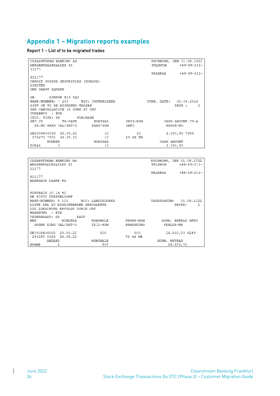## <span id="page-27-0"></span>**Appendix 1 – Migration reports examples**

## Report 1 – List of to be migrated trades

| CLEARSTREAM BANKING AG                 |                                   |             |               | ESCHBORN, DEN 01.06.2022 |
|----------------------------------------|-----------------------------------|-------------|---------------|--------------------------|
| MERGENTHALERALLEE 61                   |                                   | TELEFON     | $+49-69-211-$ |                          |
| 11177                                  |                                   |             |               |                          |
|                                        |                                   |             |               | TELEFAX +49-69-211-      |
| 611177                                 |                                   |             |               |                          |
| CREDIT SUISSE SECURITIES (EUROPE)      |                                   |             |               |                          |
| <b>LIMITED</b>                         |                                   |             |               |                          |
| ONE CABOT SOUARE                       |                                   |             |               |                          |
|                                        |                                   |             |               |                          |
| LONDON E14 40J<br>GB.                  |                                   |             |               |                          |
|                                        |                                   |             |               |                          |
| BANK-NUMMER: 7 283<br>BIC: CSFBGB2LXXX |                                   |             |               | CURR. DATE: 01.06.2022   |
| LIST OF TO BE MIGRATED TRADES          |                                   |             |               | PAGE :<br>1              |
| THE CANCELLATION IS DONE BY CBF        |                                   |             |               |                          |
| CURRENCY : EUR                         |                                   |             |               |                          |
| CTDY TYPE: GS PURCHASE                 |                                   |             |               |                          |
| SEC.CD<br>TR-DATE                      | NOMINAL ORIG-NOM CASH AMOUNT CP-A |             |               |                          |
| TR.NO BRKR VAL/SET-D PART-NOM          |                                   | <b>INFO</b> |               | ERROR-NO                 |
|                                        |                                   |             |               |                          |
| DE0008404005 25.05.22                  | 10                                | 10          |               | 2.050,95 7086            |
| 276673 7501 26.05.22                   | 10                                | LV XE TB    |               |                          |
| NUMBER                                 | NOMINAL                           | CASH AMOUNT |               |                          |
| 1.<br>TOTAL                            | 10                                |             |               | 2.050,95                 |

| CLEARSTREAM BANKING AG               |                  |           |                | ESCHBORN, DEN 01.06.2022 |
|--------------------------------------|------------------|-----------|----------------|--------------------------|
| MERGENTHALERALLEE 61                 |                  |           | <b>TELEFON</b> | $+49-69-211-$            |
| 11177                                |                  |           |                |                          |
|                                      |                  |           | TELEFAX        | $+49-69-211-$            |
| 611177                               |                  |           |                |                          |
| BANKHAUS LAMPE KG                    |                  |           |                |                          |
|                                      |                  |           |                |                          |
|                                      |                  |           |                |                          |
| POSTFACH 10 14 42                    |                  |           |                |                          |
| DE 40005 DUESSELDORF                 |                  |           |                |                          |
| BANK-NUMMER: 6 115                   | BIC: LAMPDEDDXXX |           |                | TAGESDATUM: 01.06.2022   |
| LISTE DER ZU MIGRIERENDEN GESCHAEFTE |                  |           |                | $\mathbf{1}$<br>SEITE:   |
| DIE LOESCHUNG ERFOLGT DURCH CBF      |                  |           |                |                          |
| WAEHRUNG : EUR                       |                  |           |                |                          |
|                                      |                  |           |                |                          |
| VERWAHRART: GS<br><b>KAUF</b>        |                  |           |                |                          |
| WKN<br>SCHLTAG                       | NOMINALE         | URSPR-NOM |                | AUSM. BETRAG GKTO        |
| GESNR EING VAL/SET-D                 | TEIL-NOM         | BEMERKUNG | FEHLER-NR      |                          |
|                                      |                  |           |                |                          |
| DE0008404005 25.05.22                | 500              | 500       |                | 26.600.00 6249           |
| 244250 6184 26.05.22                 |                  | VZ AS ME  |                |                          |
| ANZAHL                               | NOMINALE         |           | AUSM. BETRAG   |                          |
| SUMME                                | 500              |           |                | 26.600,00                |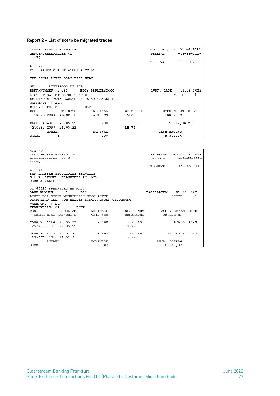## Report 2 – List of not to be migrated trades

| CLEARSTREAM BANKING AG                                                   | ESCHBORN, DEN 01.06.2022 |       |                        |
|--------------------------------------------------------------------------|--------------------------|-------|------------------------|
| MERGENTHALERALLEE 61                                                     |                          |       | +49-69-211-<br>TELEFON |
| 11177                                                                    |                          |       |                        |
|                                                                          |                          |       | TELEFAX +49-69-211-    |
| 611177                                                                   |                          |       |                        |
| PSL BAADER CLIENT ASSET ACCOUNT                                          |                          |       |                        |
|                                                                          |                          |       |                        |
| THE ROYAL LIVER BLDG, PIER HEAD                                          |                          |       |                        |
|                                                                          |                          |       |                        |
| GB LIVERPOOL L3 1LL                                                      |                          |       |                        |
|                                                                          |                          |       | CURR. DATE: 01.06.2022 |
| BANK-NUMMER: 2 062 BIC: PERLGB2LXXX                                      |                          |       |                        |
| LIST OF NOT MIGRATED TRADES<br>DELETED BY BOTH COUNTERPARTS OR CANCELLED |                          |       | PAGE : 1               |
|                                                                          |                          |       |                        |
| CURRENCY : EUR                                                           |                          |       |                        |
| CTDY. TYPE: GS PURCHASE                                                  |                          |       |                        |
| SEC.CD                                                                   |                          |       |                        |
| TR.NO BRKR VAL/SET-D PART-NOM                                            |                          | INFO  | ERROR-NO               |
|                                                                          |                          |       |                        |
| DE0008404005 25.05.22                                                    | 600                      | - 600 | 5.312,04 2099          |
| 250265 2099 26.05.22                                                     |                          | LB VZ |                        |
| NUMBER                                                                   | NOMINAL<br>CASH AMOUNT   |       |                        |
| TOTAL                                                                    | 600                      |       | 5.312,04               |

| 5.312,04                              |         |                                                  |           |              |                             |
|---------------------------------------|---------|--------------------------------------------------|-----------|--------------|-----------------------------|
| CLEARSTREAM BANKING AG                |         |                                                  |           |              | ESCHBORN, DEN 01.06.2022    |
| MERGENTHALERALLEE 61                  |         |                                                  |           |              | TELEFON +49-69-211-         |
| 11177                                 |         |                                                  |           |              |                             |
|                                       |         |                                                  |           | TELEFAX      | +49-69-211-                 |
| 611177                                |         |                                                  |           |              |                             |
| BNP PARIBAS SECURITIES SERVICES       |         |                                                  |           |              |                             |
| S.C.A. ZWGNDL. FRANKFURT AM MAIN      |         |                                                  |           |              |                             |
| EUROPA-ALLEE 12                       |         |                                                  |           |              |                             |
|                                       |         |                                                  |           |              |                             |
| DE 60327 FRANKFURT AM MAIN            |         |                                                  |           |              |                             |
| BANK-NUMMER: 1 031                    |         | BIC:                                             |           |              | TAGESDATUM: 01.06.2022      |
| LISTE DER NICHT MIGRIERTEN GESCHAEFTE |         |                                                  |           |              | SEITE:<br>1                 |
|                                       |         | STORNIERT ODER VON BEIDEN KONTRAHENTEN GELOESCHT |           |              |                             |
| : EUR<br>WAEHRUNG                     |         |                                                  |           |              |                             |
| VERWAHRART: GS KAUF                   |         |                                                  |           |              |                             |
| WKN                                   | SCHLTAG | <b>NOMINALE</b>                                  |           |              | URSPR-NOM AUSM. BETRAG GKTO |
| GESNR EING VAL/SET-D                  |         | TEIL-NOM                                         | BEMERKUNG |              | FEHLER-NR                   |
|                                       |         |                                                  |           |              |                             |
| CA0037931064 25.05.22                 |         | 2.000                                            | 2.000     |              | 676,00 4043                 |
| 257466 1031 26.05.22                  |         |                                                  | LT VZ     |              |                             |
|                                       |         |                                                  |           |              |                             |
| DE0008404005 10.02.21                 |         | 6.303                                            | 11.549    |              | 17.585,37 4043              |
| 259367 1031 12.02.21                  |         |                                                  | LT VZ     |              |                             |
| ANZAHL                                |         | NOMINALE                                         |           | AUSM. BETRAG |                             |
| <b>SUMME</b>                          | 2       | 8,303                                            |           |              | 18.261,37                   |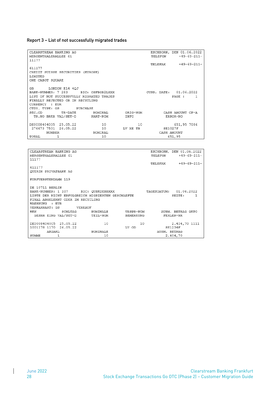## Report 3 – List of not successfully migrated trades

| CLEARSTREAM BANKING AG                          |            | ESCHBORN, DEN 01.06.2022 |                     |
|-------------------------------------------------|------------|--------------------------|---------------------|
| MERGENTHALERALLEE 61                            |            |                          | TELEFON +49-69-211- |
| 11177                                           |            |                          |                     |
|                                                 |            | TELEFAX +49-69-211-      |                     |
| 611177                                          |            |                          |                     |
| CREDIT SUISSE SECURITIES (EUROPE)               |            |                          |                     |
| <b>LIMITED</b>                                  |            |                          |                     |
| ONE CABOT SOUARE                                |            |                          |                     |
|                                                 |            |                          |                     |
| GB LONDON E14 40J                               |            |                          |                     |
| BANK-NUMMER: 7 283 BIC: CSFBGB2LXXX             |            | CURR. DATE: 01.06.2022   |                     |
| LIST OF NOT SUCCESSFULLY MIGRATED TRADES        |            |                          | PAGE : 1            |
| FINALLY REJECTED OR IN RECYCLING                |            |                          |                     |
| CURRENCY : EUR                                  |            |                          |                     |
|                                                 |            |                          |                     |
| CTDY. TYPE: GS PURCHASE                         |            |                          |                     |
| SEC.CD TR-DATE NOMINAL ORIG-NOM CASHAMOUNT CP-A |            |                          |                     |
| TR.NO BRKR VAL/SET-D PART-NOM                   | INFO       | ERROR-NO                 |                     |
|                                                 |            |                          |                     |
| DE0008404005 25.05.22<br>10                     | 10         |                          | 651,95 7086         |
| 276673 7501 26.05.22<br>10                      | T.V XF. TB | SE1027F                  |                     |
| NUMBER<br>NOMINAL                               |            | CASH AMOUNT              |                     |
| TOTAL<br>1.                                     | 10         | 651,95                   |                     |

| CLEARSTREAM BANKING AG                            |                                                                        |           |              | ESCHBORN, DEN 01.06.2022 |
|---------------------------------------------------|------------------------------------------------------------------------|-----------|--------------|--------------------------|
| MERGENTHALERALLEE 61                              |                                                                        |           | TELEFON      | $+49-69-211-$            |
| 11177                                             |                                                                        |           |              |                          |
|                                                   |                                                                        |           |              |                          |
|                                                   |                                                                        |           |              | TELEFAX +49-69-211-      |
| 611177                                            |                                                                        |           |              |                          |
| OUIRIN PRIVATBANK AG                              |                                                                        |           |              |                          |
|                                                   |                                                                        |           |              |                          |
|                                                   |                                                                        |           |              |                          |
| KURFUERSTENDAMM 119                               |                                                                        |           |              |                          |
|                                                   |                                                                        |           |              |                          |
| DE 10711 BERLIN                                   |                                                                        |           |              |                          |
| BANK-NUMMER: 1 107 BIC: OUBKDEBBXXX               |                                                                        |           |              | TAGESDATUM: 01.06.2022   |
|                                                   |                                                                        |           |              |                          |
| LISTE DER NICHT ERFOLGREICH MIGRIERTEN GESCHAEFTE |                                                                        |           |              | SEITE:<br>1              |
| FINAL ABGELEHNT ODER IM RECYCLING                 |                                                                        |           |              |                          |
| WAEHRUNG : EUR                                    |                                                                        |           |              |                          |
| VERWAHRART: GS<br>VERKAUF                         |                                                                        |           |              |                          |
|                                                   |                                                                        |           |              |                          |
| WKN<br>SCHLTAG                                    | NOMINALE               URSPR-NOM                   AUSM.  BETRAG  GKTO |           |              |                          |
| GESNR EING VAL/SET-D                              | TEIL-NOM                                                               | BEMERKUNG |              | FEHLER-NR                |
|                                                   |                                                                        |           |              |                          |
| DE0008404005 25.05.22                             | 10                                                                     | 10        |              | 2.404,70 1111            |
| 1001178 1170 26.05.22                             |                                                                        |           |              | SE1234F                  |
|                                                   |                                                                        | LV OD     |              |                          |
| ANZAHL                                            | <b>NOMINALE</b>                                                        |           | AUSM. BETRAG |                          |
| SUMME                                             | 10                                                                     |           |              | 2.404,70                 |